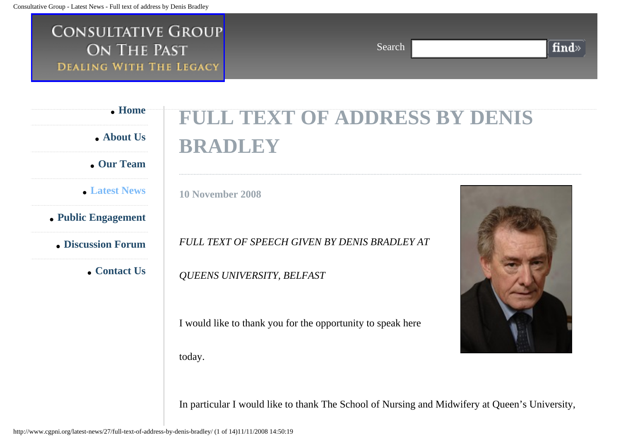## **CONSULTATIVE GROUP** ON THE PAST **DEALING WITH THE LEGACY**

 **[Home](http://www.cgpni.org/)**

 **[About Us](http://www.cgpni.org/about-us/)**

 **[Our Team](http://www.cgpni.org/our-team/)**

 **[Latest News](http://www.cgpni.org/latest-news/)**

 **[Public Engagement](http://www.cgpni.org/public-engagement/)**

 **[Discussion Forum](http://www.cgpni.org/your-views/)**

 **[Contact Us](http://www.cgpni.org/contact-us/)**

## **FULL TEXT OF ADDRESS BY DENIS BRADLEY**

Search

**10 November 2008**

*FULL TEXT OF SPEECH GIVEN BY DENIS BRADLEY AT* 

*QUEENS UNIVERSITY, BELFAST*

I would like to thank you for the opportunity to speak here today.



find»

In particular I would like to thank The School of Nursing and Midwifery at Queen's University,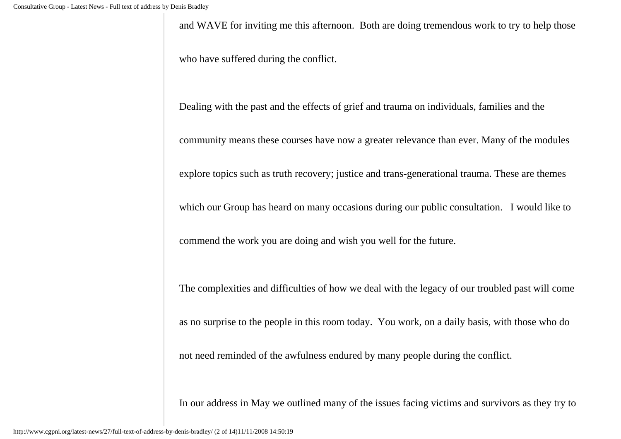and WAVE for inviting me this afternoon. Both are doing tremendous work to try to help those

who have suffered during the conflict.

Dealing with the past and the effects of grief and trauma on individuals, families and the

community means these courses have now a greater relevance than ever. Many of the modules

explore topics such as truth recovery; justice and trans-generational trauma. These are themes

which our Group has heard on many occasions during our public consultation. I would like to

commend the work you are doing and wish you well for the future.

The complexities and difficulties of how we deal with the legacy of our troubled past will come

as no surprise to the people in this room today. You work, on a daily basis, with those who do

not need reminded of the awfulness endured by many people during the conflict.

In our address in May we outlined many of the issues facing victims and survivors as they try to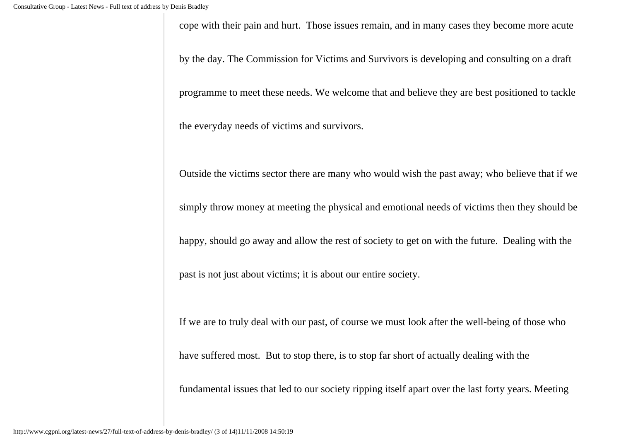cope with their pain and hurt. Those issues remain, and in many cases they become more acute

by the day. The Commission for Victims and Survivors is developing and consulting on a draft

programme to meet these needs. We welcome that and believe they are best positioned to tackle

the everyday needs of victims and survivors.

Outside the victims sector there are many who would wish the past away; who believe that if we

simply throw money at meeting the physical and emotional needs of victims then they should be

happy, should go away and allow the rest of society to get on with the future. Dealing with the

past is not just about victims; it is about our entire society.

If we are to truly deal with our past, of course we must look after the well-being of those who

have suffered most. But to stop there, is to stop far short of actually dealing with the

fundamental issues that led to our society ripping itself apart over the last forty years. Meeting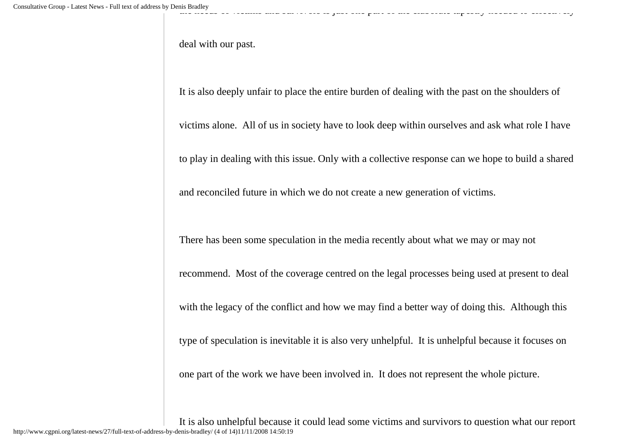deal with our past.

It is also deeply unfair to place the entire burden of dealing with the past on the shoulders of

victims alone. All of us in society have to look deep within ourselves and ask what role I have

to play in dealing with this issue. Only with a collective response can we hope to build a shared

and reconciled future in which we do not create a new generation of victims.

There has been some speculation in the media recently about what we may or may not

recommend. Most of the coverage centred on the legal processes being used at present to deal

with the legacy of the conflict and how we may find a better way of doing this. Although this

type of speculation is inevitable it is also very unhelpful. It is unhelpful because it focuses on

one part of the work we have been involved in. It does not represent the whole picture.

It is also unhelpful because it could lead some victims and survivors to question what our report http://www.cgpni.org/latest-news/27/full-text-of-address-by-denis-bradley/ (4 of 14)11/11/2008 14:50:19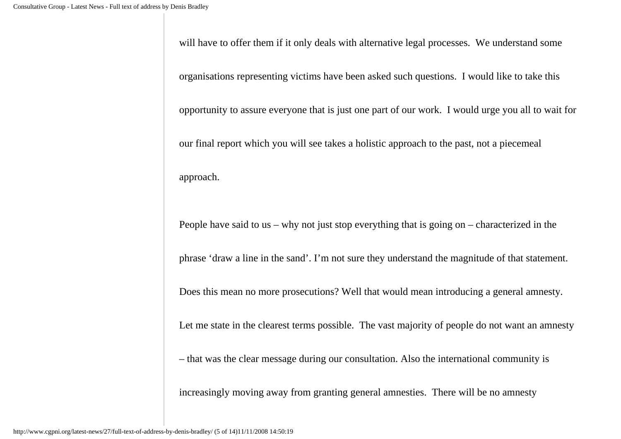will have to offer them if it only deals with alternative legal processes. We understand some

organisations representing victims have been asked such questions. I would like to take this

opportunity to assure everyone that is just one part of our work. I would urge you all to wait for

our final report which you will see takes a holistic approach to the past, not a piecemeal

approach.

People have said to us – why not just stop everything that is going on – characterized in the

phrase 'draw a line in the sand'. I'm not sure they understand the magnitude of that statement.

Does this mean no more prosecutions? Well that would mean introducing a general amnesty.

Let me state in the clearest terms possible. The vast majority of people do not want an amnesty

– that was the clear message during our consultation. Also the international community is

increasingly moving away from granting general amnesties. There will be no amnesty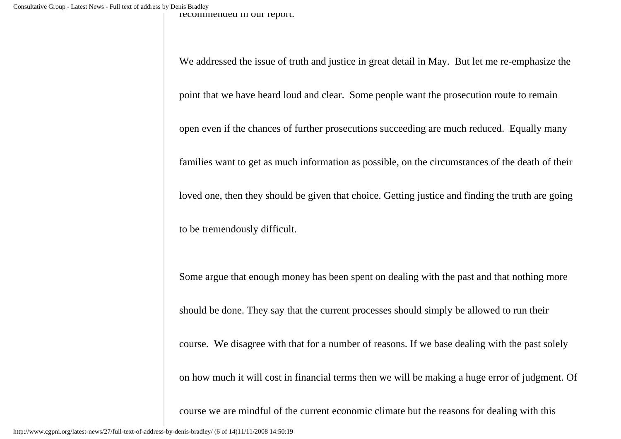recommended in our report.

We addressed the issue of truth and justice in great detail in May. But let me re-emphasize the

point that we have heard loud and clear. Some people want the prosecution route to remain

open even if the chances of further prosecutions succeeding are much reduced. Equally many

families want to get as much information as possible, on the circumstances of the death of their

loved one, then they should be given that choice. Getting justice and finding the truth are going

to be tremendously difficult.

Some argue that enough money has been spent on dealing with the past and that nothing more

should be done. They say that the current processes should simply be allowed to run their

course. We disagree with that for a number of reasons. If we base dealing with the past solely

on how much it will cost in financial terms then we will be making a huge error of judgment. Of

course we are mindful of the current economic climate but the reasons for dealing with this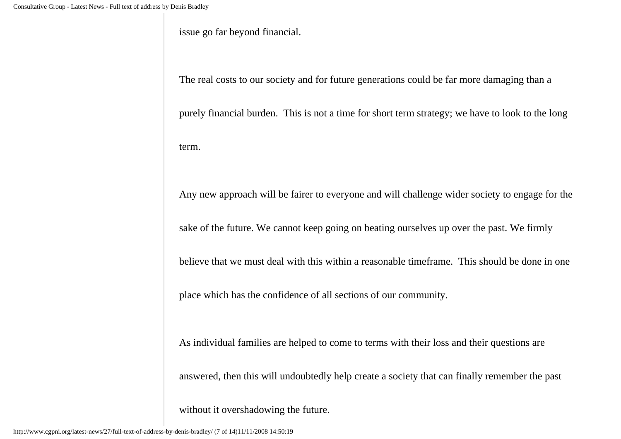issue go far beyond financial.

The real costs to our society and for future generations could be far more damaging than a

purely financial burden. This is not a time for short term strategy; we have to look to the long term.

Any new approach will be fairer to everyone and will challenge wider society to engage for the

sake of the future. We cannot keep going on beating ourselves up over the past. We firmly

believe that we must deal with this within a reasonable timeframe. This should be done in one

place which has the confidence of all sections of our community.

As individual families are helped to come to terms with their loss and their questions are

answered, then this will undoubtedly help create a society that can finally remember the past

without it overshadowing the future.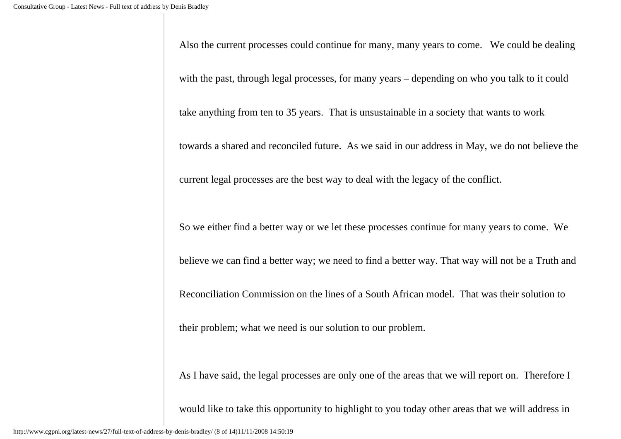Also the current processes could continue for many, many years to come. We could be dealing with the past, through legal processes, for many years – depending on who you talk to it could take anything from ten to 35 years. That is unsustainable in a society that wants to work towards a shared and reconciled future. As we said in our address in May, we do not believe the current legal processes are the best way to deal with the legacy of the conflict. So we either find a better way or we let these processes continue for many years to come. We believe we can find a better way; we need to find a better way. That way will not be a Truth and

Reconciliation Commission on the lines of a South African model. That was their solution to

their problem; what we need is our solution to our problem.

As I have said, the legal processes are only one of the areas that we will report on. Therefore I

would like to take this opportunity to highlight to you today other areas that we will address in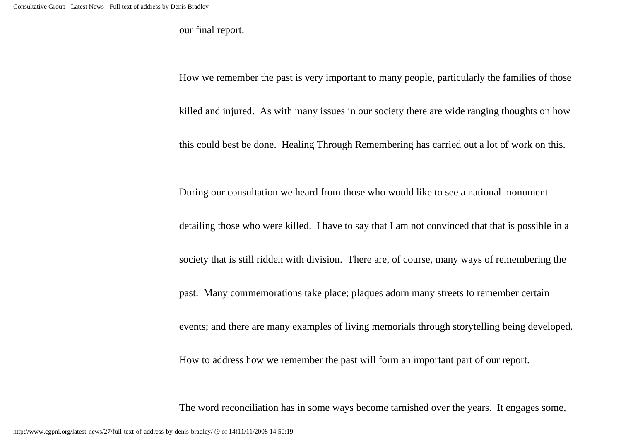our final report.

How we remember the past is very important to many people, particularly the families of those

killed and injured. As with many issues in our society there are wide ranging thoughts on how

this could best be done. Healing Through Remembering has carried out a lot of work on this.

During our consultation we heard from those who would like to see a national monument

detailing those who were killed. I have to say that I am not convinced that that is possible in a

society that is still ridden with division. There are, of course, many ways of remembering the

past. Many commemorations take place; plaques adorn many streets to remember certain

events; and there are many examples of living memorials through storytelling being developed.

How to address how we remember the past will form an important part of our report.

The word reconciliation has in some ways become tarnished over the years. It engages some,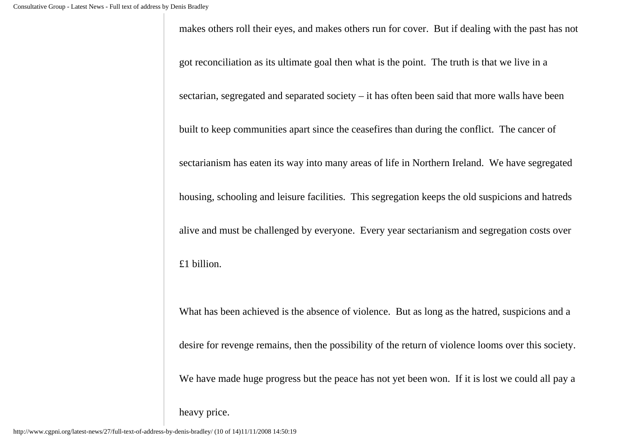makes others roll their eyes, and makes others run for cover. But if dealing with the past has not

got reconciliation as its ultimate goal then what is the point. The truth is that we live in a

sectarian, segregated and separated society – it has often been said that more walls have been

built to keep communities apart since the ceasefires than during the conflict. The cancer of

sectarianism has eaten its way into many areas of life in Northern Ireland. We have segregated

housing, schooling and leisure facilities. This segregation keeps the old suspicions and hatreds

alive and must be challenged by everyone. Every year sectarianism and segregation costs over

£1 billion.

What has been achieved is the absence of violence. But as long as the hatred, suspicions and a

desire for revenge remains, then the possibility of the return of violence looms over this society.

We have made huge progress but the peace has not yet been won. If it is lost we could all pay a

heavy price.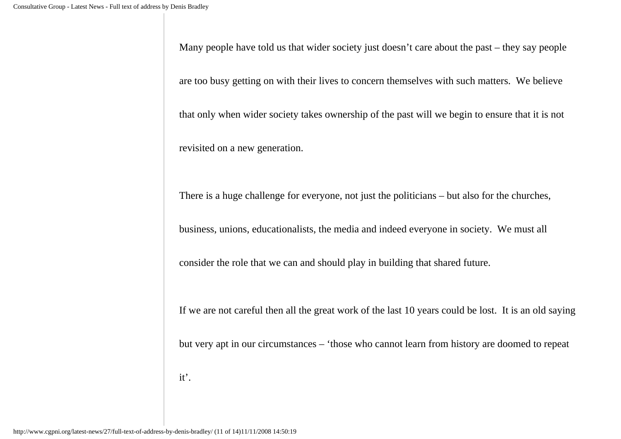Many people have told us that wider society just doesn't care about the past – they say people

are too busy getting on with their lives to concern themselves with such matters. We believe

that only when wider society takes ownership of the past will we begin to ensure that it is not

revisited on a new generation.

There is a huge challenge for everyone, not just the politicians – but also for the churches,

business, unions, educationalists, the media and indeed everyone in society. We must all

consider the role that we can and should play in building that shared future.

If we are not careful then all the great work of the last 10 years could be lost. It is an old saying

but very apt in our circumstances – 'those who cannot learn from history are doomed to repeat

it'.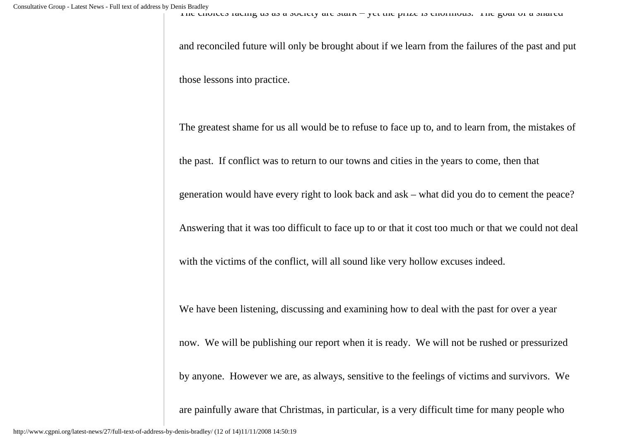The choices rading us as a society are stark – yet the prize is chorinous. The goal or a shared

and reconciled future will only be brought about if we learn from the failures of the past and put those lessons into practice.

The greatest shame for us all would be to refuse to face up to, and to learn from, the mistakes of

the past. If conflict was to return to our towns and cities in the years to come, then that

generation would have every right to look back and ask – what did you do to cement the peace?

Answering that it was too difficult to face up to or that it cost too much or that we could not deal

with the victims of the conflict, will all sound like very hollow excuses indeed.

We have been listening, discussing and examining how to deal with the past for over a year

now. We will be publishing our report when it is ready. We will not be rushed or pressurized

by anyone. However we are, as always, sensitive to the feelings of victims and survivors. We

are painfully aware that Christmas, in particular, is a very difficult time for many people who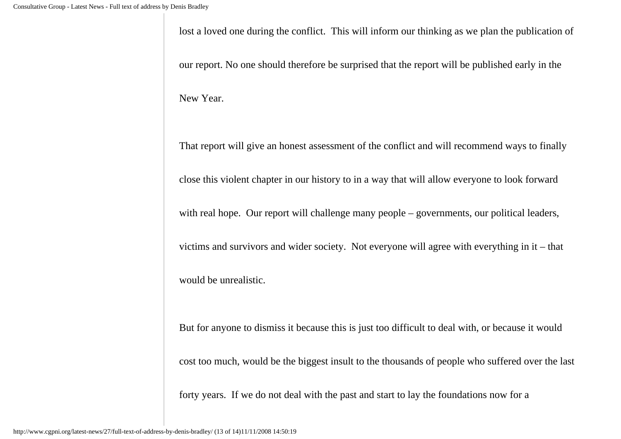lost a loved one during the conflict. This will inform our thinking as we plan the publication of

our report. No one should therefore be surprised that the report will be published early in the

New Year.

That report will give an honest assessment of the conflict and will recommend ways to finally

close this violent chapter in our history to in a way that will allow everyone to look forward

with real hope. Our report will challenge many people – governments, our political leaders,

victims and survivors and wider society. Not everyone will agree with everything in it – that

would be unrealistic.

But for anyone to dismiss it because this is just too difficult to deal with, or because it would

cost too much, would be the biggest insult to the thousands of people who suffered over the last

forty years. If we do not deal with the past and start to lay the foundations now for a